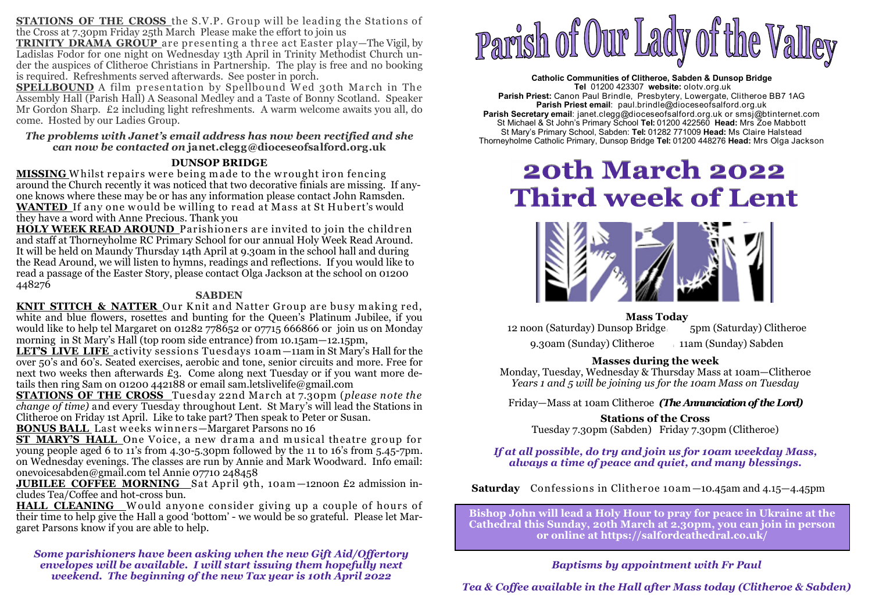**STATIONS OF THE CROSS** the S.V.P. Group will be leading the Stations of the Cross at 7.30pm Friday 25th March Please make the effort to join us

 **TRINITY DRAMA GROUP** are presenting a three act Easter play—The Vigil, by Ladislas Fodor for one night on Wednesday 13th April in Trinity Methodist Church under the auspices of Clitheroe Christians in Partnership. The play is free and no booking is required. Refreshments served afterwards. See poster in porch.

**SPELLBOUND** A film presentation by Spellbound Wed 30th March in The **SPELLBOUND** A film presentation by Spellbound W ed 30th March in The Assembly Hall (Parish Hall) A Seasonal Medley and a Taste of Bonny Scotland. Speaker Mr Gordon Sharp. £2 including light refreshments. A warm welcome awaits you all, do come. Hosted by our Ladies Group.

#### *The problems with Janet's email address has now been rectified and she can now be contacted on* **janet.clegg@dioceseofsalford.org.uk**

## **DUNSOP BRIDGE**

**MISSING** Whilst repairs were being made to the wrought iron fencing **MISSING** <sup>W</sup> hilst repairs w ere being m ade to the w rought iron fencing around the Church recently it was noticed that two decorative finials are missing. If anyone knows where these may be or has any information please contact John Ramsden. **WANTED** If any one w ould be w illing to read at Mass at St Hubert's would they have a word with Anne Precious. Thank you

 **HOLY WEEK READ AROUND** Parishioners are invited to join the children and staff at Thorneyholme RC Primary School for our annual Holy Week Read Around. It will be held on Maundy Thursday 14th April at 9.30am in the school hall and during the Read Around, we will listen to hymns, readings and reflections. If you would like to read a passage of the Easter Story, please contact Olga Jackson at the school on 01200 448276

#### **SABDEN**

**KNIT STITCH & NATTER** Our Knit and Natter Group are busy making red. **KNIT STITCH & NATTER** Our K nit and Natter Group are busy m aking red, white and blue flowers, rosettes and bunting for the Queen's Platinum Jubilee, if you would like to help tel Margaret on 01282 778652 or 07715 666866 or join us on Monday morning in St Mary's Hall (top room side entrance) from 10.15am—12.15pm,

LET'S LIVE LIFE activity sessions Tuesdays 10am -11am in St Mary's Hall for the **LET'S LIVE LIFE** activity sessions Tuesdays 10am —11am in St Mary's Hall for the over 50's and 60's. Seated exercises, aerobic and tone, senior circuits and more. Free for next two weeks then afterwards £3. Come along next Tuesday or if you want more details then ring Sam on 01200 442188 or email sam.letslivelife@gmail.com

 **STATIONS OF THE CROSS** Tuesday 22nd March at 7.30pm (*please note the change of time)* and every Tuesday throughout Lent. St Mary's will lead the Stations in Clitheroe on Friday 1st April. Like to take part? Then speak to Peter or Susan.

**ST MARY'S HALL** One Voice, a new drama and musical theatre group for **ST MARY'S HALL** One Voice, a new dram a and m usical theatre group for young people aged 6 to 11's from 4.30-5.30pm followed by the 11 to 16's from 5.45-7pm. on Wednesday evenings. The classes are run by Annie and Mark Woodward. Info email: onevoicesabden@gmail.com tel Annie 07710 248458

**JUBILEE COFFEE MORNING** Sat April 9th, 10am—12noon £2 admission in-<br>cludes Tea/Coffee and hot-cross bun. cludes Tea/Coffee and hot-cross bun.

**HALL\_CLEANING\_\_**Would\_anyone\_consider\_giving\_up\_a\_couple\_of\_hours\_of\_<br>their time to help give the Hall a good 'bottom' - we would be so grateful.\_Please let Martheir time to help give the Hall a good 'bottom' - we would be so grateful. Please let Margaret Parsons know if you are able to help.

*Some parishioners have been asking when the new Gift Aid/Offertory envelopes will be available. I will start issuing them hopefully next weekend. The beginning of the new Tax year is 10th April 2022* 



**Catholic Communities of Clitheroe, Sabden & Dunsop Bridge Tel** 01200 423307 **website:** olotv.org.uk **Parish Priest:** Canon Paul Brindle, Presbytery, Lowergate, Clitheroe BB7 1AG**Parish Priest email**: paul.brindle@dioceseofsalford.org.uk **Parish Secretary email**: janet.clegg@dioceseofsalford.org.uk or smsj@btinternet.com St Michael & St John's Primary School **Tel:** 01200 422560 **Head:** Mrs Zoe Mabbott St Mary's Primary School, Sabden: **Tel:** 01282 771009 **Head:** Ms Claire HalsteadThorneyholme Catholic Primary, Dunsop Bridge **Tel:** 01200 448276 **Head:** Mrs Olga Jackson

# **20th March 2022 Third week of Lent**



# **Mass Today**

12 noon (Saturday) Dunsop Bridge : 5pm (Saturday) Clitheroe

9.30am (Sunday) Clitheroe : 11am (Sunday) Sabden

# **Masses during the week**

 Monday, Tuesday, Wednesday & Thursday Mass at 10am—Clitheroe *Years 1 and 5 will be joining us for the 10am Mass on Tuesday*

Friday—Mass at 10am Clitheroe *(The Annunciation of the Lord)*

# **Stations of the Cross**

Tuesday 7.30pm (Sabden) Friday 7.30pm (Clitheroe)

# *If at all possible, do try and join us for 10am weekday Mass, always a time of peace and quiet, and many blessings.*

**Saturday** Confessions in Clitheroe 10am —10.45am and 4.15—4.45pm

**Bishop John will lead a Holy Hour to pray for peace in Ukraine at the Cathedral this Sunday, 20th March at 2.30pm, you can join in person or online at https://salfordcathedral.co.uk/** 

# *Baptisms by appointment with Fr Paul*

*Tea & Coffee available in the Hall after Mass today (Clitheroe & Sabden)*